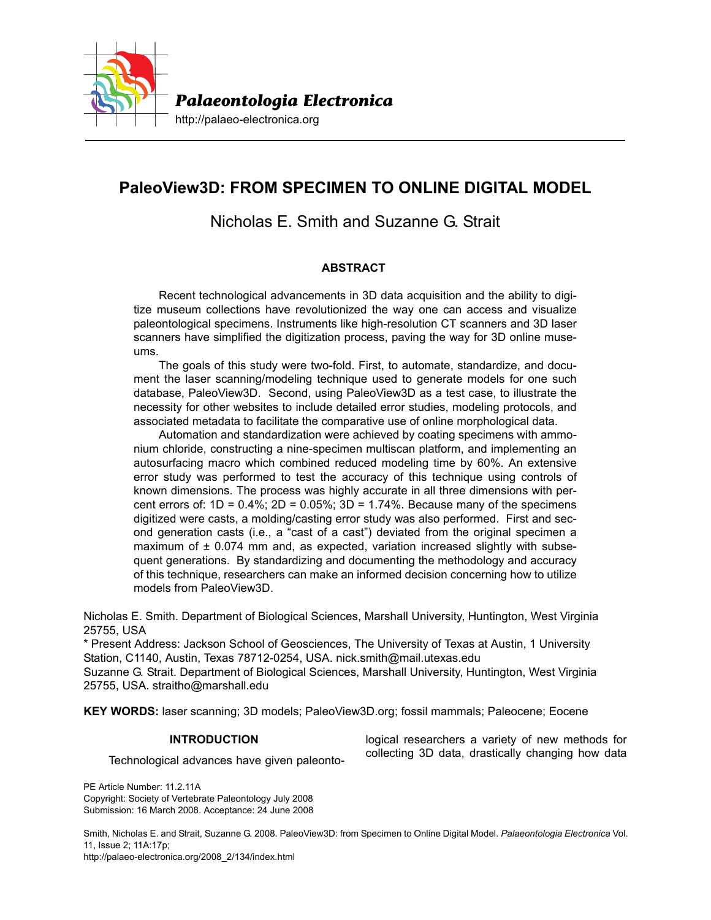

# **PaleoView3D: FROM SPECIMEN TO ONLINE DIGITAL MODEL**

# Nicholas E. Smith and Suzanne G. Strait

# **ABSTRACT**

Recent technological advancements in 3D data acquisition and the ability to digitize museum collections have revolutionized the way one can access and visualize paleontological specimens. Instruments like high-resolution CT scanners and 3D laser scanners have simplified the digitization process, paving the way for 3D online museums.

The goals of this study were two-fold. First, to automate, standardize, and document the laser scanning/modeling technique used to generate models for one such database, PaleoView3D. Second, using PaleoView3D as a test case, to illustrate the necessity for other websites to include detailed error studies, modeling protocols, and associated metadata to facilitate the comparative use of online morphological data.

Automation and standardization were achieved by coating specimens with ammonium chloride, constructing a nine-specimen multiscan platform, and implementing an autosurfacing macro which combined reduced modeling time by 60%. An extensive error study was performed to test the accuracy of this technique using controls of known dimensions. The process was highly accurate in all three dimensions with percent errors of:  $1D = 0.4\%$ ;  $2D = 0.05\%$ ;  $3D = 1.74\%$ . Because many of the specimens digitized were casts, a molding/casting error study was also performed. First and second generation casts (i.e., a "cast of a cast") deviated from the original specimen a maximum of  $\pm$  0.074 mm and, as expected, variation increased slightly with subsequent generations. By standardizing and documenting the methodology and accuracy of this technique, researchers can make an informed decision concerning how to utilize models from PaleoView3D.

Nicholas E. Smith. Department of Biological Sciences, Marshall University, Huntington, West Virginia 25755, USA

\* Present Address: Jackson School of Geosciences, The University of Texas at Austin, 1 University Station, C1140, Austin, Texas 78712-0254, USA. nick.smith@mail.utexas.edu Suzanne G. Strait. Department of Biological Sciences, Marshall University, Huntington, West Virginia

25755, USA. straitho@marshall.edu

**KEY WORDS:** laser scanning; 3D models; PaleoView3D.org; fossil mammals; Paleocene; Eocene

# **INTRODUCTION**

Technological advances have given paleonto-

PE Article Number: 11.2.11A Copyright: Society of Vertebrate Paleontology July 2008 Submission: 16 March 2008. Acceptance: 24 June 2008

Smith, Nicholas E. and Strait, Suzanne G. 2008. PaleoView3D: from Specimen to Online Digital Model. *Palaeontologia Electronica* Vol. 11, Issue 2; 11A:17p; http://palaeo-electronica.org/2008\_2/134/index.html

logical researchers a variety of new methods for collecting 3D data, drastically changing how data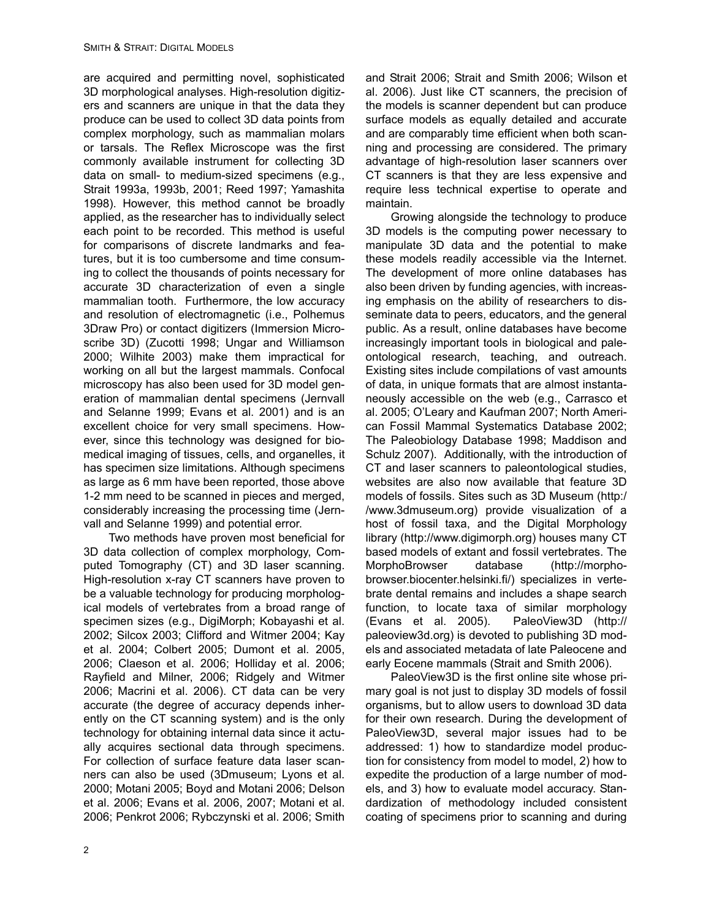are acquired and permitting novel, sophisticated 3D morphological analyses. High-resolution digitizers and scanners are unique in that the data they produce can be used to collect 3D data points from complex morphology, such as mammalian molars or tarsals. The Reflex Microscope was the first commonly available instrument for collecting 3D data on small- to medium-sized specimens (e.g., Strait 1993a, 1993b, 2001; Reed 1997; Yamashita 1998). However, this method cannot be broadly applied, as the researcher has to individually select each point to be recorded. This method is useful for comparisons of discrete landmarks and features, but it is too cumbersome and time consuming to collect the thousands of points necessary for accurate 3D characterization of even a single mammalian tooth. Furthermore, the low accuracy and resolution of electromagnetic (i.e., Polhemus 3Draw Pro) or contact digitizers (Immersion Microscribe 3D) (Zucotti 1998; Ungar and Williamson 2000; Wilhite 2003) make them impractical for working on all but the largest mammals. Confocal microscopy has also been used for 3D model generation of mammalian dental specimens (Jernvall and Selanne 1999; Evans et al. 2001) and is an excellent choice for very small specimens. However, since this technology was designed for biomedical imaging of tissues, cells, and organelles, it has specimen size limitations. Although specimens as large as 6 mm have been reported, those above 1-2 mm need to be scanned in pieces and merged, considerably increasing the processing time (Jernvall and Selanne 1999) and potential error.

Two methods have proven most beneficial for 3D data collection of complex morphology, Computed Tomography (CT) and 3D laser scanning. High-resolution x-ray CT scanners have proven to be a valuable technology for producing morphological models of vertebrates from a broad range of specimen sizes (e.g., DigiMorph; Kobayashi et al. 2002; Silcox 2003; Clifford and Witmer 2004; Kay et al. 2004; Colbert 2005; Dumont et al. 2005, 2006; Claeson et al. 2006; Holliday et al. 2006; Rayfield and Milner, 2006; Ridgely and Witmer 2006; Macrini et al. 2006). CT data can be very accurate (the degree of accuracy depends inherently on the CT scanning system) and is the only technology for obtaining internal data since it actually acquires sectional data through specimens. For collection of surface feature data laser scanners can also be used (3Dmuseum; Lyons et al. 2000; Motani 2005; Boyd and Motani 2006; Delson et al. 2006; Evans et al. 2006, 2007; Motani et al. 2006; Penkrot 2006; Rybczynski et al. 2006; Smith

and Strait 2006; Strait and Smith 2006; Wilson et al. 2006). Just like CT scanners, the precision of the models is scanner dependent but can produce surface models as equally detailed and accurate and are comparably time efficient when both scanning and processing are considered. The primary advantage of high-resolution laser scanners over CT scanners is that they are less expensive and require less technical expertise to operate and maintain.

Growing alongside the technology to produce 3D models is the computing power necessary to manipulate 3D data and the potential to make these models readily accessible via the Internet. The development of more online databases has also been driven by funding agencies, with increasing emphasis on the ability of researchers to disseminate data to peers, educators, and the general public. As a result, online databases have become increasingly important tools in biological and paleontological research, teaching, and outreach. Existing sites include compilations of vast amounts of data, in unique formats that are almost instantaneously accessible on the web (e.g., Carrasco et al. 2005; O'Leary and Kaufman 2007; North American Fossil Mammal Systematics Database 2002; The Paleobiology Database 1998; Maddison and Schulz 2007). Additionally, with the introduction of CT and laser scanners to paleontological studies, websites are also now available that feature 3D models of fossils. Sites such as 3D Museum (http:/ /www.3dmuseum.org) provide visualization of a host of fossil taxa, and the Digital Morphology library (http://www.digimorph.org) houses many CT based models of extant and fossil vertebrates. The MorphoBrowser database (http://morphobrowser.biocenter.helsinki.fi/) specializes in vertebrate dental remains and includes a shape search function, to locate taxa of similar morphology (Evans et al. 2005). PaleoView3D (http:// paleoview3d.org) is devoted to publishing 3D models and associated metadata of late Paleocene and early Eocene mammals (Strait and Smith 2006).

PaleoView3D is the first online site whose primary goal is not just to display 3D models of fossil organisms, but to allow users to download 3D data for their own research. During the development of PaleoView3D, several major issues had to be addressed: 1) how to standardize model production for consistency from model to model, 2) how to expedite the production of a large number of models, and 3) how to evaluate model accuracy. Standardization of methodology included consistent coating of specimens prior to scanning and during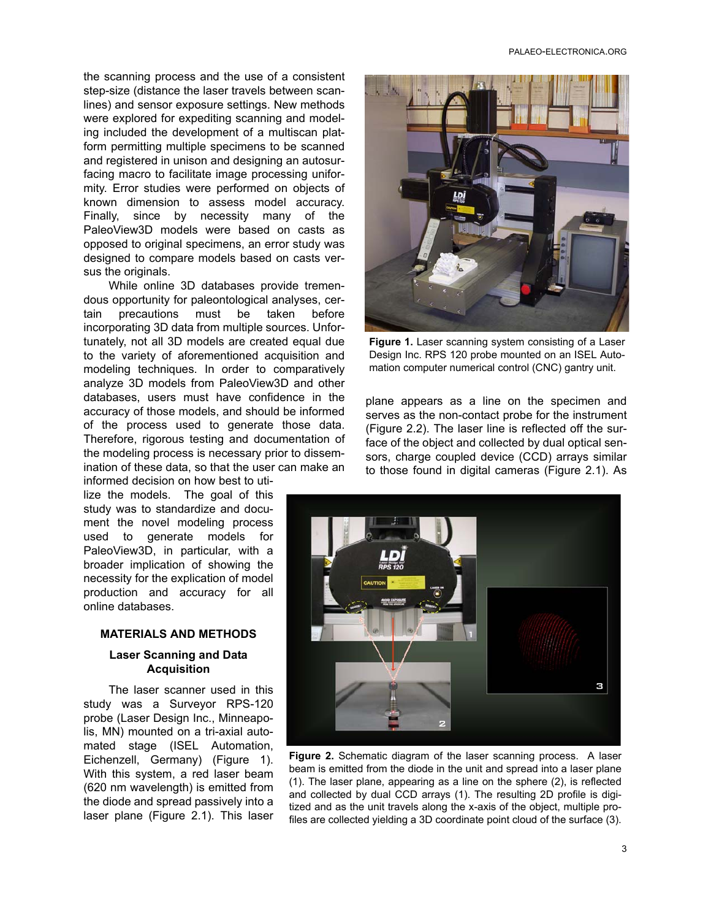the scanning process and the use of a consistent step-size (distance the laser travels between scanlines) and sensor exposure settings. New methods were explored for expediting scanning and modeling included the development of a multiscan platform permitting multiple specimens to be scanned and registered in unison and designing an autosurfacing macro to facilitate image processing uniformity. Error studies were performed on objects of known dimension to assess model accuracy. Finally, since by necessity many of the PaleoView3D models were based on casts as opposed to original specimens, an error study was designed to compare models based on casts versus the originals.

While online 3D databases provide tremendous opportunity for paleontological analyses, certain precautions must be taken before incorporating 3D data from multiple sources. Unfortunately, not all 3D models are created equal due to the variety of aforementioned acquisition and modeling techniques. In order to comparatively analyze 3D models from PaleoView3D and other databases, users must have confidence in the accuracy of those models, and should be informed of the process used to generate those data. Therefore, rigorous testing and documentation of the modeling process is necessary prior to dissemination of these data, so that the user can make an

informed decision on how best to utilize the models. The goal of this study was to standardize and document the novel modeling process used to generate models for PaleoView3D, in particular, with a broader implication of showing the necessity for the explication of model production and accuracy for all online databases.

#### **MATERIALS AND METHODS**

### **Laser Scanning and Data Acquisition**

The laser scanner used in this study was a Surveyor RPS-120 probe (Laser Design Inc., Minneapolis, MN) mounted on a tri-axial automated stage (ISEL Automation, Eichenzell, Germany) (Figure 1). With this system, a red laser beam (620 nm wavelength) is emitted from the diode and spread passively into a laser plane (Figure 2.1). This laser



**Figure 1.** Laser scanning system consisting of a Laser Design Inc. RPS 120 probe mounted on an ISEL Automation computer numerical control (CNC) gantry unit.

plane appears as a line on the specimen and serves as the non-contact probe for the instrument (Figure 2.2). The laser line is reflected off the surface of the object and collected by dual optical sensors, charge coupled device (CCD) arrays similar to those found in digital cameras (Figure 2.1). As



**Figure 2.** Schematic diagram of the laser scanning process. A laser beam is emitted from the diode in the unit and spread into a laser plane (1). The laser plane, appearing as a line on the sphere (2), is reflected and collected by dual CCD arrays (1). The resulting 2D profile is digitized and as the unit travels along the x-axis of the object, multiple profiles are collected yielding a 3D coordinate point cloud of the surface (3).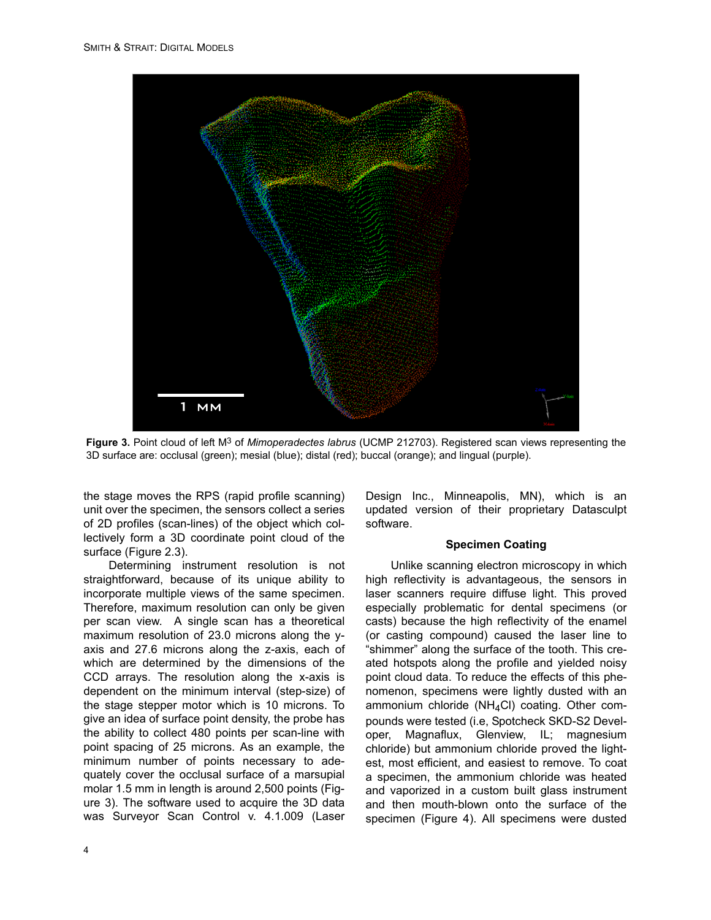

**Figure 3.** Point cloud of left M3 of *Mimoperadectes labrus* (UCMP 212703). Registered scan views representing the 3D surface are: occlusal (green); mesial (blue); distal (red); buccal (orange); and lingual (purple).

the stage moves the RPS (rapid profile scanning) unit over the specimen, the sensors collect a series of 2D profiles (scan-lines) of the object which collectively form a 3D coordinate point cloud of the surface (Figure 2.3).

Determining instrument resolution is not straightforward, because of its unique ability to incorporate multiple views of the same specimen. Therefore, maximum resolution can only be given per scan view. A single scan has a theoretical maximum resolution of 23.0 microns along the yaxis and 27.6 microns along the z-axis, each of which are determined by the dimensions of the CCD arrays. The resolution along the x-axis is dependent on the minimum interval (step-size) of the stage stepper motor which is 10 microns. To give an idea of surface point density, the probe has the ability to collect 480 points per scan-line with point spacing of 25 microns. As an example, the minimum number of points necessary to adequately cover the occlusal surface of a marsupial molar 1.5 mm in length is around 2,500 points (Figure 3). The software used to acquire the 3D data was Surveyor Scan Control v. 4.1.009 (Laser

Design Inc., Minneapolis, MN), which is an updated version of their proprietary Datasculpt software.

## **Specimen Coating**

Unlike scanning electron microscopy in which high reflectivity is advantageous, the sensors in laser scanners require diffuse light. This proved especially problematic for dental specimens (or casts) because the high reflectivity of the enamel (or casting compound) caused the laser line to "shimmer" along the surface of the tooth. This created hotspots along the profile and yielded noisy point cloud data. To reduce the effects of this phenomenon, specimens were lightly dusted with an ammonium chloride ( $NH<sub>4</sub>Cl$ ) coating. Other compounds were tested (i.e, Spotcheck SKD-S2 Developer, Magnaflux, Glenview, IL; magnesium chloride) but ammonium chloride proved the lightest, most efficient, and easiest to remove. To coat a specimen, the ammonium chloride was heated and vaporized in a custom built glass instrument and then mouth-blown onto the surface of the specimen (Figure 4). All specimens were dusted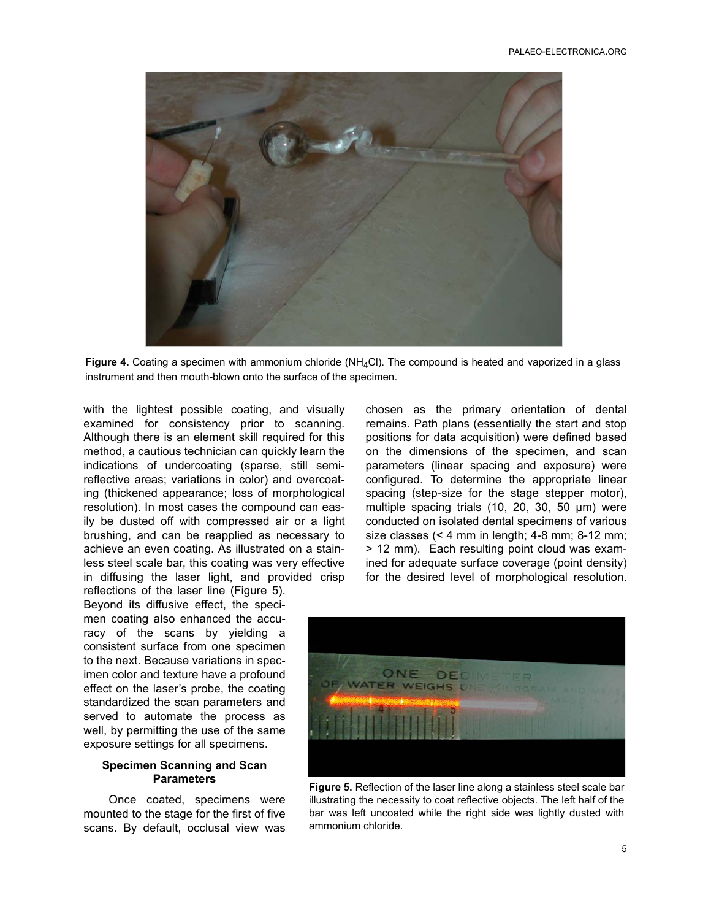

Figure 4. Coating a specimen with ammonium chloride (NH<sub>4</sub>Cl). The compound is heated and vaporized in a glass instrument and then mouth-blown onto the surface of the specimen.

with the lightest possible coating, and visually examined for consistency prior to scanning. Although there is an element skill required for this method, a cautious technician can quickly learn the indications of undercoating (sparse, still semireflective areas; variations in color) and overcoating (thickened appearance; loss of morphological resolution). In most cases the compound can easily be dusted off with compressed air or a light brushing, and can be reapplied as necessary to achieve an even coating. As illustrated on a stainless steel scale bar, this coating was very effective in diffusing the laser light, and provided crisp

chosen as the primary orientation of dental remains. Path plans (essentially the start and stop positions for data acquisition) were defined based on the dimensions of the specimen, and scan parameters (linear spacing and exposure) were configured. To determine the appropriate linear spacing (step-size for the stage stepper motor), multiple spacing trials (10, 20, 30, 50 µm) were conducted on isolated dental specimens of various size classes (< 4 mm in length; 4-8 mm; 8-12 mm; > 12 mm). Each resulting point cloud was examined for adequate surface coverage (point density) for the desired level of morphological resolution.

reflections of the laser line (Figure 5). Beyond its diffusive effect, the specimen coating also enhanced the accuracy of the scans by yielding a consistent surface from one specimen to the next. Because variations in specimen color and texture have a profound effect on the laser's probe, the coating standardized the scan parameters and served to automate the process as well, by permitting the use of the same exposure settings for all specimens.

## **Specimen Scanning and Scan Parameters**

Once coated, specimens were mounted to the stage for the first of five scans. By default, occlusal view was



**Figure 5.** Reflection of the laser line along a stainless steel scale bar illustrating the necessity to coat reflective objects. The left half of the bar was left uncoated while the right side was lightly dusted with ammonium chloride.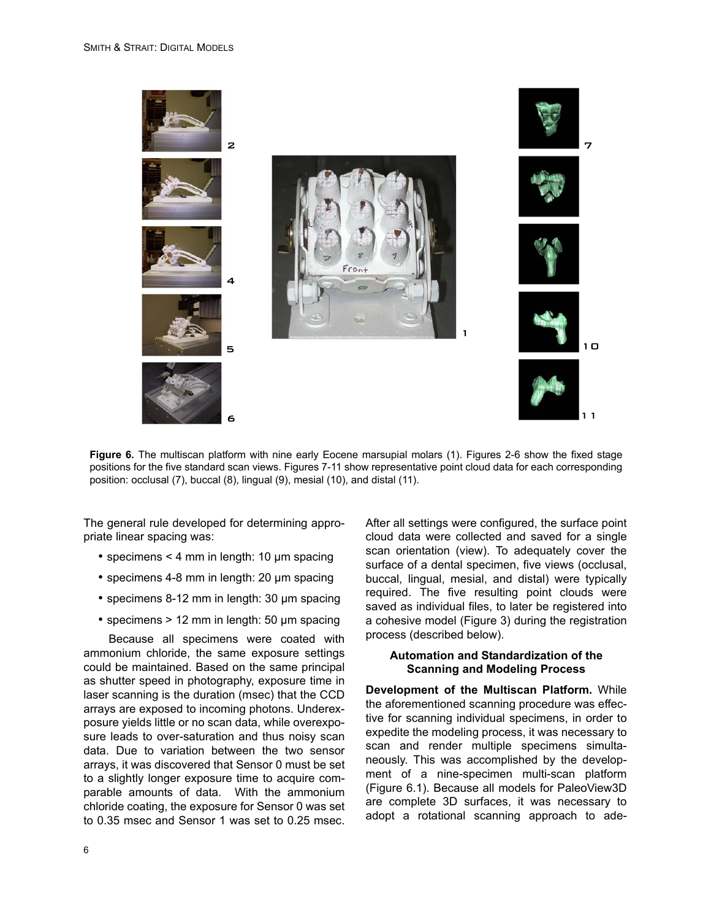

**Figure 6.** The multiscan platform with nine early Eocene marsupial molars (1). Figures 2-6 show the fixed stage positions for the five standard scan views. Figures 7-11 show representative point cloud data for each corresponding position: occlusal (7), buccal (8), lingual (9), mesial (10), and distal (11).

The general rule developed for determining appropriate linear spacing was:

- specimens < 4 mm in length: 10 µm spacing
- specimens 4-8 mm in length: 20 µm spacing
- specimens 8-12 mm in length: 30 µm spacing
- specimens > 12 mm in length: 50 µm spacing

Because all specimens were coated with ammonium chloride, the same exposure settings could be maintained. Based on the same principal as shutter speed in photography, exposure time in laser scanning is the duration (msec) that the CCD arrays are exposed to incoming photons. Underexposure yields little or no scan data, while overexposure leads to over-saturation and thus noisy scan data. Due to variation between the two sensor arrays, it was discovered that Sensor 0 must be set to a slightly longer exposure time to acquire comparable amounts of data. With the ammonium chloride coating, the exposure for Sensor 0 was set to 0.35 msec and Sensor 1 was set to 0.25 msec.

After all settings were configured, the surface point cloud data were collected and saved for a single scan orientation (view). To adequately cover the surface of a dental specimen, five views (occlusal, buccal, lingual, mesial, and distal) were typically required. The five resulting point clouds were saved as individual files, to later be registered into a cohesive model (Figure 3) during the registration process (described below).

## **Automation and Standardization of the Scanning and Modeling Process**

**Development of the Multiscan Platform.** While the aforementioned scanning procedure was effective for scanning individual specimens, in order to expedite the modeling process, it was necessary to scan and render multiple specimens simultaneously. This was accomplished by the development of a nine-specimen multi-scan platform (Figure 6.1). Because all models for PaleoView3D are complete 3D surfaces, it was necessary to adopt a rotational scanning approach to ade-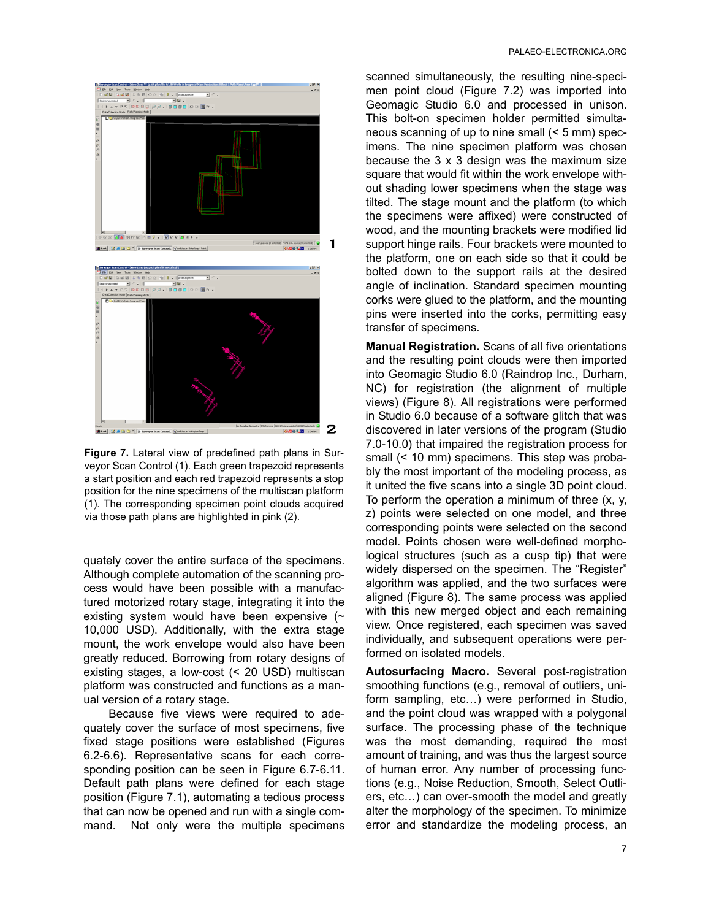

**Figure 7.** Lateral view of predefined path plans in Surveyor Scan Control (1). Each green trapezoid represents a start position and each red trapezoid represents a stop position for the nine specimens of the multiscan platform (1). The corresponding specimen point clouds acquired via those path plans are highlighted in pink (2).

quately cover the entire surface of the specimens. Although complete automation of the scanning process would have been possible with a manufactured motorized rotary stage, integrating it into the existing system would have been expensive  $($ 10,000 USD). Additionally, with the extra stage mount, the work envelope would also have been greatly reduced. Borrowing from rotary designs of existing stages, a low-cost (< 20 USD) multiscan platform was constructed and functions as a manual version of a rotary stage.

Because five views were required to adequately cover the surface of most specimens, five fixed stage positions were established (Figures 6.2-6.6). Representative scans for each corresponding position can be seen in Figure 6.7-6.11. Default path plans were defined for each stage position (Figure 7.1), automating a tedious process that can now be opened and run with a single command. Not only were the multiple specimens scanned simultaneously, the resulting nine-specimen point cloud (Figure 7.2) was imported into Geomagic Studio 6.0 and processed in unison. This bolt-on specimen holder permitted simultaneous scanning of up to nine small (< 5 mm) specimens. The nine specimen platform was chosen because the 3 x 3 design was the maximum size square that would fit within the work envelope without shading lower specimens when the stage was tilted. The stage mount and the platform (to which the specimens were affixed) were constructed of wood, and the mounting brackets were modified lid support hinge rails. Four brackets were mounted to the platform, one on each side so that it could be bolted down to the support rails at the desired angle of inclination. Standard specimen mounting corks were glued to the platform, and the mounting pins were inserted into the corks, permitting easy transfer of specimens.

**Manual Registration.** Scans of all five orientations and the resulting point clouds were then imported into Geomagic Studio 6.0 (Raindrop Inc., Durham, NC) for registration (the alignment of multiple views) (Figure 8). All registrations were performed in Studio 6.0 because of a software glitch that was discovered in later versions of the program (Studio 7.0-10.0) that impaired the registration process for small (< 10 mm) specimens. This step was probably the most important of the modeling process, as it united the five scans into a single 3D point cloud. To perform the operation a minimum of three (x, y, z) points were selected on one model, and three corresponding points were selected on the second model. Points chosen were well-defined morphological structures (such as a cusp tip) that were widely dispersed on the specimen. The "Register" algorithm was applied, and the two surfaces were aligned (Figure 8). The same process was applied with this new merged object and each remaining view. Once registered, each specimen was saved individually, and subsequent operations were performed on isolated models.

**Autosurfacing Macro.** Several post-registration smoothing functions (e.g., removal of outliers, uniform sampling, etc…) were performed in Studio, and the point cloud was wrapped with a polygonal surface. The processing phase of the technique was the most demanding, required the most amount of training, and was thus the largest source of human error. Any number of processing functions (e.g., Noise Reduction, Smooth, Select Outliers, etc…) can over-smooth the model and greatly alter the morphology of the specimen. To minimize error and standardize the modeling process, an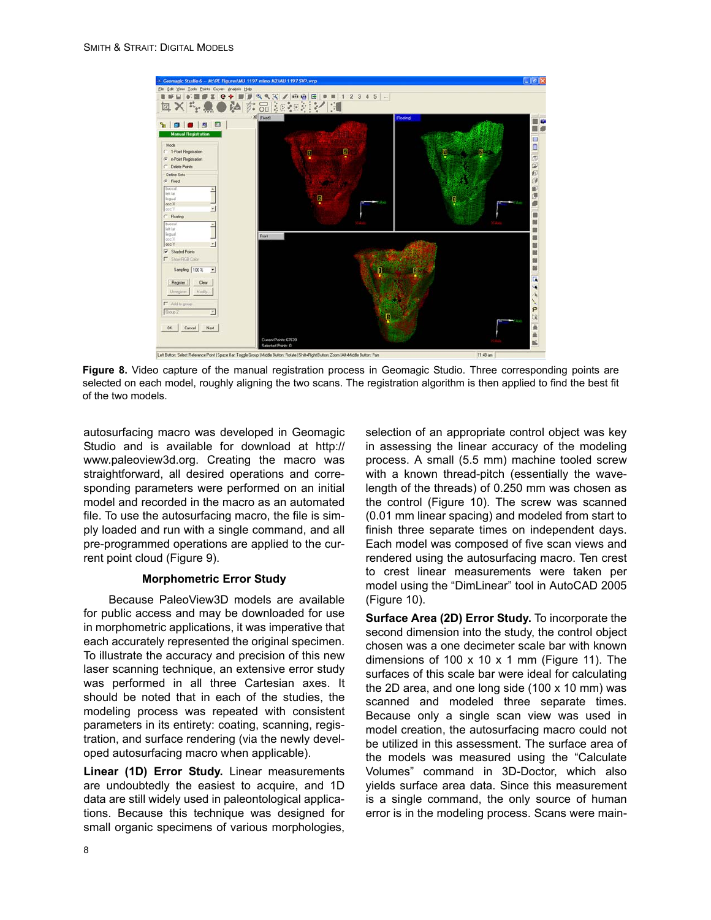

**Figure 8.** Video capture of the manual registration process in Geomagic Studio. Three corresponding points are selected on each model, roughly aligning the two scans. The registration algorithm is then applied to find the best fit of the two models.

autosurfacing macro was developed in Geomagic Studio and is available for download at http:// www.paleoview3d.org. Creating the macro was straightforward, all desired operations and corresponding parameters were performed on an initial model and recorded in the macro as an automated file. To use the autosurfacing macro, the file is simply loaded and run with a single command, and all pre-programmed operations are applied to the current point cloud (Figure 9).

## **Morphometric Error Study**

Because PaleoView3D models are available for public access and may be downloaded for use in morphometric applications, it was imperative that each accurately represented the original specimen. To illustrate the accuracy and precision of this new laser scanning technique, an extensive error study was performed in all three Cartesian axes. It should be noted that in each of the studies, the modeling process was repeated with consistent parameters in its entirety: coating, scanning, registration, and surface rendering (via the newly developed autosurfacing macro when applicable).

**Linear (1D) Error Study.** Linear measurements are undoubtedly the easiest to acquire, and 1D data are still widely used in paleontological applications. Because this technique was designed for small organic specimens of various morphologies,

selection of an appropriate control object was key in assessing the linear accuracy of the modeling process. A small (5.5 mm) machine tooled screw with a known thread-pitch (essentially the wavelength of the threads) of 0.250 mm was chosen as the control (Figure 10). The screw was scanned (0.01 mm linear spacing) and modeled from start to finish three separate times on independent days. Each model was composed of five scan views and rendered using the autosurfacing macro. Ten crest to crest linear measurements were taken per model using the "DimLinear" tool in AutoCAD 2005 (Figure 10).

**Surface Area (2D) Error Study.** To incorporate the second dimension into the study, the control object chosen was a one decimeter scale bar with known dimensions of 100  $\times$  10  $\times$  1 mm (Figure 11). The surfaces of this scale bar were ideal for calculating the 2D area, and one long side (100 x 10 mm) was scanned and modeled three separate times. Because only a single scan view was used in model creation, the autosurfacing macro could not be utilized in this assessment. The surface area of the models was measured using the "Calculate Volumes" command in 3D-Doctor, which also yields surface area data. Since this measurement is a single command, the only source of human error is in the modeling process. Scans were main-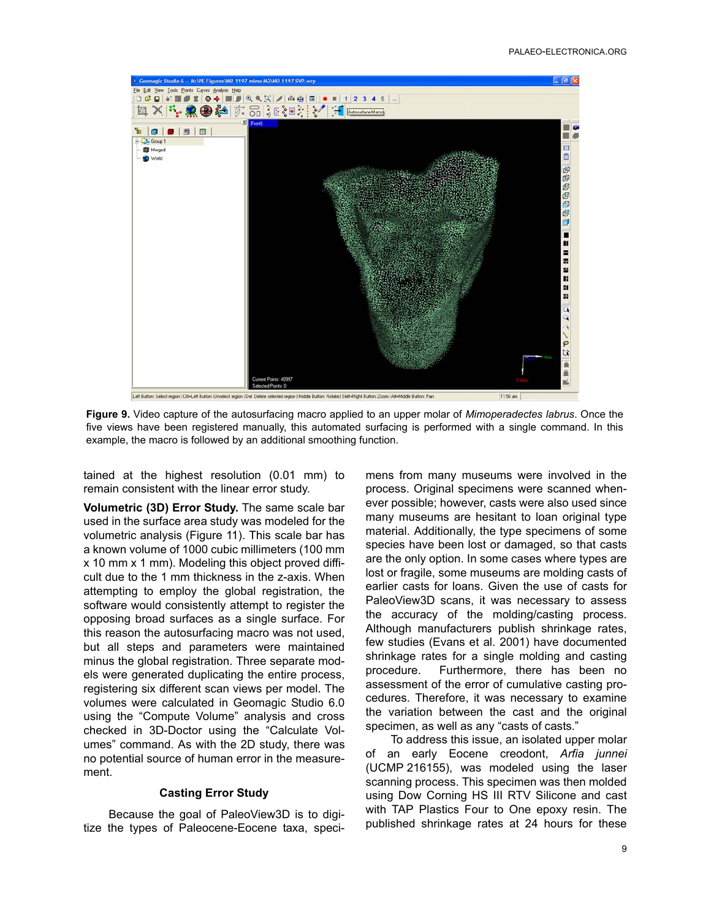

**Figure 9.** Video capture of the autosurfacing macro applied to an upper molar of *Mimoperadectes labrus*. Once the five views have been registered manually, this automated surfacing is performed with a single command. In this example, the macro is followed by an additional smoothing function.

tained at the highest resolution (0.01 mm) to remain consistent with the linear error study.

**Volumetric (3D) Error Study.** The same scale bar used in the surface area study was modeled for the volumetric analysis (Figure 11). This scale bar has a known volume of 1000 cubic millimeters (100 mm x 10 mm x 1 mm). Modeling this object proved difficult due to the 1 mm thickness in the z-axis. When attempting to employ the global registration, the software would consistently attempt to register the opposing broad surfaces as a single surface. For this reason the autosurfacing macro was not used, but all steps and parameters were maintained minus the global registration. Three separate models were generated duplicating the entire process, registering six different scan views per model. The volumes were calculated in Geomagic Studio 6.0 using the "Compute Volume" analysis and cross checked in 3D-Doctor using the "Calculate Volumes" command. As with the 2D study, there was no potential source of human error in the measurement.

### **Casting Error Study**

Because the goal of PaleoView3D is to digitize the types of Paleocene-Eocene taxa, specimens from many museums were involved in the process. Original specimens were scanned whenever possible; however, casts were also used since many museums are hesitant to loan original type material. Additionally, the type specimens of some species have been lost or damaged, so that casts are the only option. In some cases where types are lost or fragile, some museums are molding casts of earlier casts for loans. Given the use of casts for PaleoView3D scans, it was necessary to assess the accuracy of the molding/casting process. Although manufacturers publish shrinkage rates, few studies (Evans et al. 2001) have documented shrinkage rates for a single molding and casting procedure. Furthermore, there has been no assessment of the error of cumulative casting procedures. Therefore, it was necessary to examine the variation between the cast and the original specimen, as well as any "casts of casts."

To address this issue, an isolated upper molar of an early Eocene creodont, *Arfia junnei* (UCMP 216155), was modeled using the laser scanning process. This specimen was then molded using Dow Corning HS III RTV Silicone and cast with TAP Plastics Four to One epoxy resin. The published shrinkage rates at 24 hours for these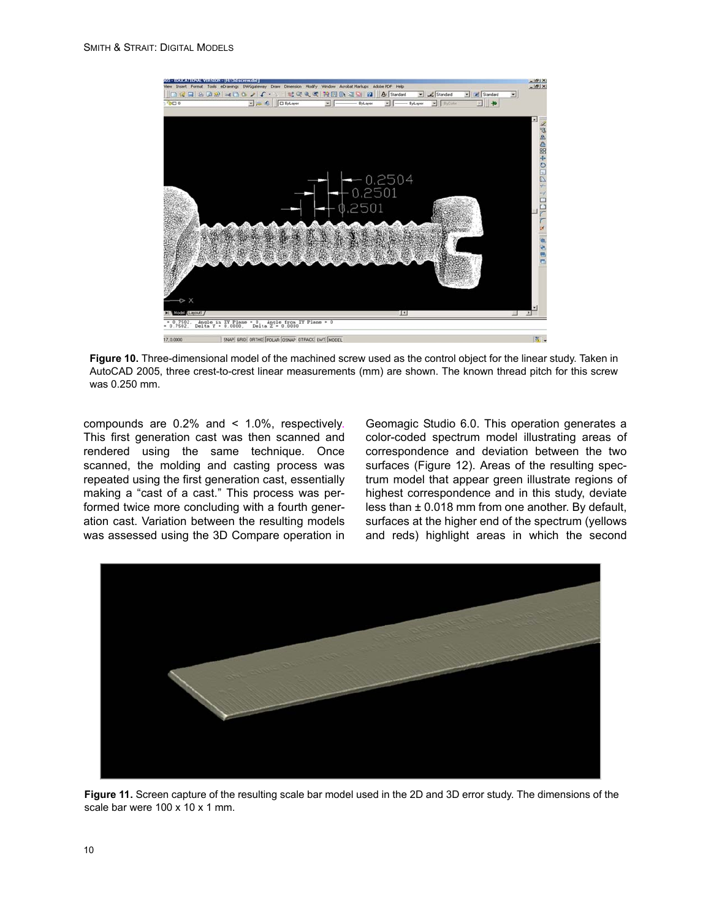

**Figure 10.** Three-dimensional model of the machined screw used as the control object for the linear study. Taken in AutoCAD 2005, three crest-to-crest linear measurements (mm) are shown. The known thread pitch for this screw was 0.250 mm.

compounds are 0.2% and < 1.0%, respectively. This first generation cast was then scanned and rendered using the same technique. Once scanned, the molding and casting process was repeated using the first generation cast, essentially making a "cast of a cast." This process was performed twice more concluding with a fourth generation cast. Variation between the resulting models was assessed using the 3D Compare operation in

Geomagic Studio 6.0. This operation generates a color-coded spectrum model illustrating areas of correspondence and deviation between the two surfaces (Figure 12). Areas of the resulting spectrum model that appear green illustrate regions of highest correspondence and in this study, deviate less than ± 0.018 mm from one another. By default, surfaces at the higher end of the spectrum (yellows and reds) highlight areas in which the second



**Figure 11.** Screen capture of the resulting scale bar model used in the 2D and 3D error study. The dimensions of the scale bar were 100 x 10 x 1 mm.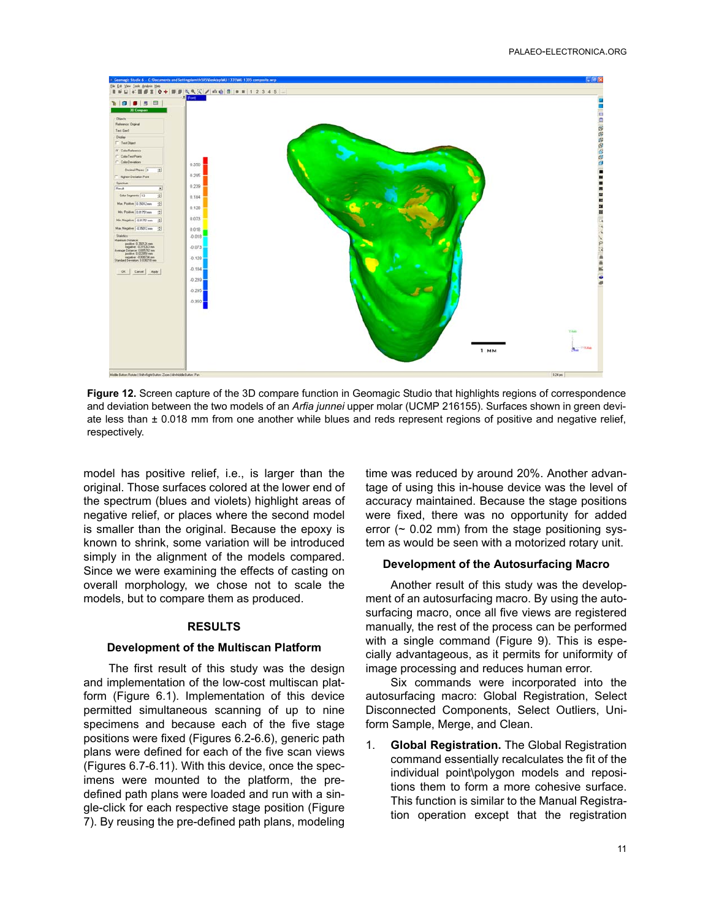

**Figure 12.** Screen capture of the 3D compare function in Geomagic Studio that highlights regions of correspondence and deviation between the two models of an *Arfia junnei* upper molar (UCMP 216155). Surfaces shown in green deviate less than ± 0.018 mm from one another while blues and reds represent regions of positive and negative relief, respectively.

model has positive relief, i.e., is larger than the original. Those surfaces colored at the lower end of the spectrum (blues and violets) highlight areas of negative relief, or places where the second model is smaller than the original. Because the epoxy is known to shrink, some variation will be introduced simply in the alignment of the models compared. Since we were examining the effects of casting on overall morphology, we chose not to scale the models, but to compare them as produced.

#### **RESULTS**

#### **Development of the Multiscan Platform**

The first result of this study was the design and implementation of the low-cost multiscan platform (Figure 6.1). Implementation of this device permitted simultaneous scanning of up to nine specimens and because each of the five stage positions were fixed (Figures 6.2-6.6), generic path plans were defined for each of the five scan views (Figures 6.7-6.11). With this device, once the specimens were mounted to the platform, the predefined path plans were loaded and run with a single-click for each respective stage position (Figure 7). By reusing the pre-defined path plans, modeling time was reduced by around 20%. Another advantage of using this in-house device was the level of accuracy maintained. Because the stage positions were fixed, there was no opportunity for added error  $($   $\sim$  0.02 mm) from the stage positioning system as would be seen with a motorized rotary unit.

#### **Development of the Autosurfacing Macro**

Another result of this study was the development of an autosurfacing macro. By using the autosurfacing macro, once all five views are registered manually, the rest of the process can be performed with a single command (Figure 9). This is especially advantageous, as it permits for uniformity of image processing and reduces human error.

Six commands were incorporated into the autosurfacing macro: Global Registration, Select Disconnected Components, Select Outliers, Uniform Sample, Merge, and Clean.

1. **Global Registration.** The Global Registration command essentially recalculates the fit of the individual point\polygon models and repositions them to form a more cohesive surface. This function is similar to the Manual Registration operation except that the registration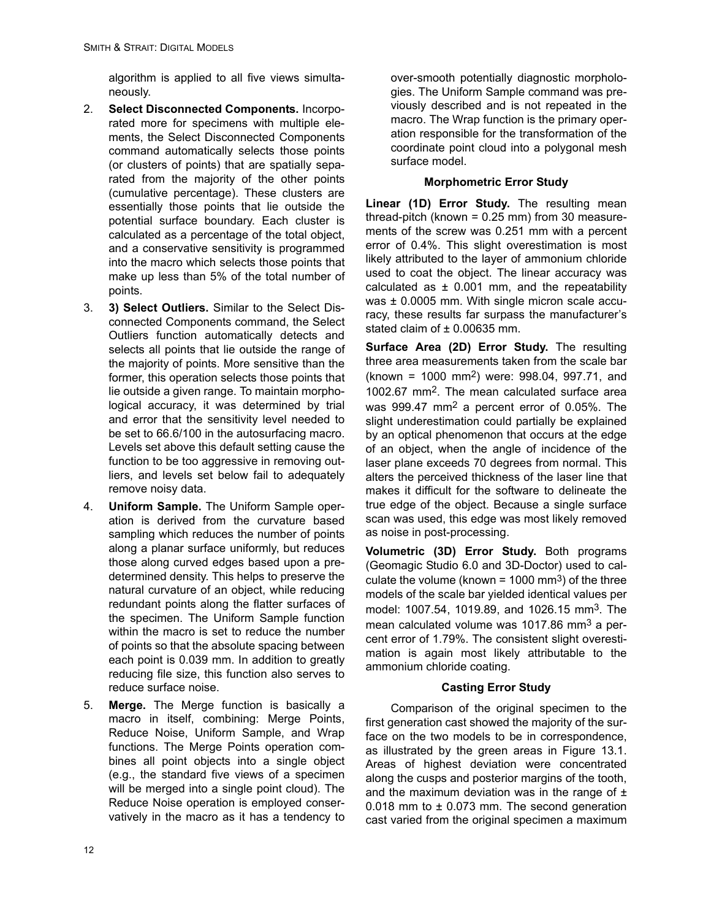algorithm is applied to all five views simultaneously.

- 2. **Select Disconnected Components.** Incorporated more for specimens with multiple elements, the Select Disconnected Components command automatically selects those points (or clusters of points) that are spatially separated from the majority of the other points (cumulative percentage). These clusters are essentially those points that lie outside the potential surface boundary. Each cluster is calculated as a percentage of the total object, and a conservative sensitivity is programmed into the macro which selects those points that make up less than 5% of the total number of points.
- 3. **3) Select Outliers.** Similar to the Select Disconnected Components command, the Select Outliers function automatically detects and selects all points that lie outside the range of the majority of points. More sensitive than the former, this operation selects those points that lie outside a given range. To maintain morphological accuracy, it was determined by trial and error that the sensitivity level needed to be set to 66.6/100 in the autosurfacing macro. Levels set above this default setting cause the function to be too aggressive in removing outliers, and levels set below fail to adequately remove noisy data.
- 4. **Uniform Sample.** The Uniform Sample operation is derived from the curvature based sampling which reduces the number of points along a planar surface uniformly, but reduces those along curved edges based upon a predetermined density. This helps to preserve the natural curvature of an object, while reducing redundant points along the flatter surfaces of the specimen. The Uniform Sample function within the macro is set to reduce the number of points so that the absolute spacing between each point is 0.039 mm. In addition to greatly reducing file size, this function also serves to reduce surface noise.
- 5. **Merge.** The Merge function is basically a macro in itself, combining: Merge Points, Reduce Noise, Uniform Sample, and Wrap functions. The Merge Points operation combines all point objects into a single object (e.g., the standard five views of a specimen will be merged into a single point cloud). The Reduce Noise operation is employed conservatively in the macro as it has a tendency to

over-smooth potentially diagnostic morphologies. The Uniform Sample command was previously described and is not repeated in the macro. The Wrap function is the primary operation responsible for the transformation of the coordinate point cloud into a polygonal mesh surface model.

# **Morphometric Error Study**

Linear (1D) Error Study. The resulting mean thread-pitch (known = 0.25 mm) from 30 measurements of the screw was 0.251 mm with a percent error of 0.4%. This slight overestimation is most likely attributed to the layer of ammonium chloride used to coat the object. The linear accuracy was calculated as  $\pm$  0.001 mm, and the repeatability was  $\pm$  0.0005 mm. With single micron scale accuracy, these results far surpass the manufacturer's stated claim of  $\pm$  0.00635 mm.

**Surface Area (2D) Error Study.** The resulting three area measurements taken from the scale bar (known = 1000 mm2) were: 998.04, 997.71, and 1002.67 mm2. The mean calculated surface area was 999.47 mm2 a percent error of 0.05%. The slight underestimation could partially be explained by an optical phenomenon that occurs at the edge of an object, when the angle of incidence of the laser plane exceeds 70 degrees from normal. This alters the perceived thickness of the laser line that makes it difficult for the software to delineate the true edge of the object. Because a single surface scan was used, this edge was most likely removed as noise in post-processing.

**Volumetric (3D) Error Study.** Both programs (Geomagic Studio 6.0 and 3D-Doctor) used to calculate the volume (known =  $1000 \text{ mm}^3$ ) of the three models of the scale bar yielded identical values per model: 1007.54, 1019.89, and 1026.15 mm<sup>3</sup>. The mean calculated volume was 1017.86 mm<sup>3</sup> a percent error of 1.79%. The consistent slight overestimation is again most likely attributable to the ammonium chloride coating.

# **Casting Error Study**

Comparison of the original specimen to the first generation cast showed the majority of the surface on the two models to be in correspondence, as illustrated by the green areas in Figure 13.1. Areas of highest deviation were concentrated along the cusps and posterior margins of the tooth, and the maximum deviation was in the range of  $\pm$ 0.018 mm to ± 0.073 mm. The second generation cast varied from the original specimen a maximum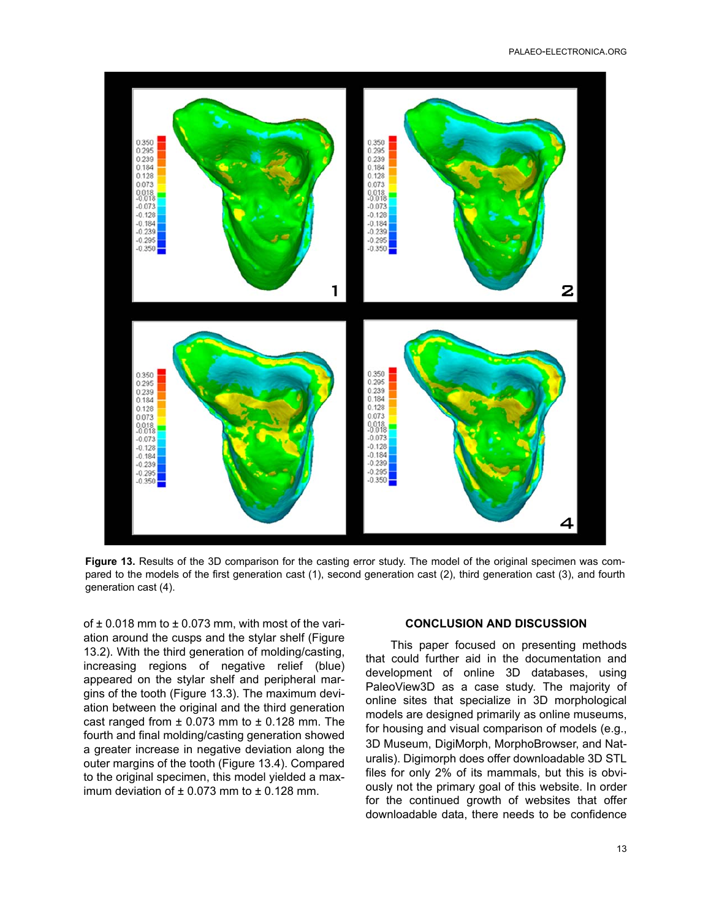

**Figure 13.** Results of the 3D comparison for the casting error study. The model of the original specimen was compared to the models of the first generation cast (1), second generation cast (2), third generation cast (3), and fourth generation cast (4).

of  $\pm$  0.018 mm to  $\pm$  0.073 mm, with most of the variation around the cusps and the stylar shelf (Figure 13.2). With the third generation of molding/casting, increasing regions of negative relief (blue) appeared on the stylar shelf and peripheral margins of the tooth (Figure 13.3). The maximum deviation between the original and the third generation cast ranged from  $\pm$  0.073 mm to  $\pm$  0.128 mm. The fourth and final molding/casting generation showed a greater increase in negative deviation along the outer margins of the tooth (Figure 13.4). Compared to the original specimen, this model yielded a maximum deviation of  $\pm$  0.073 mm to  $\pm$  0.128 mm.

#### **CONCLUSION AND DISCUSSION**

This paper focused on presenting methods that could further aid in the documentation and development of online 3D databases, using PaleoView3D as a case study. The majority of online sites that specialize in 3D morphological models are designed primarily as online museums, for housing and visual comparison of models (e.g., 3D Museum, DigiMorph, MorphoBrowser, and Naturalis). Digimorph does offer downloadable 3D STL files for only 2% of its mammals, but this is obviously not the primary goal of this website. In order for the continued growth of websites that offer downloadable data, there needs to be confidence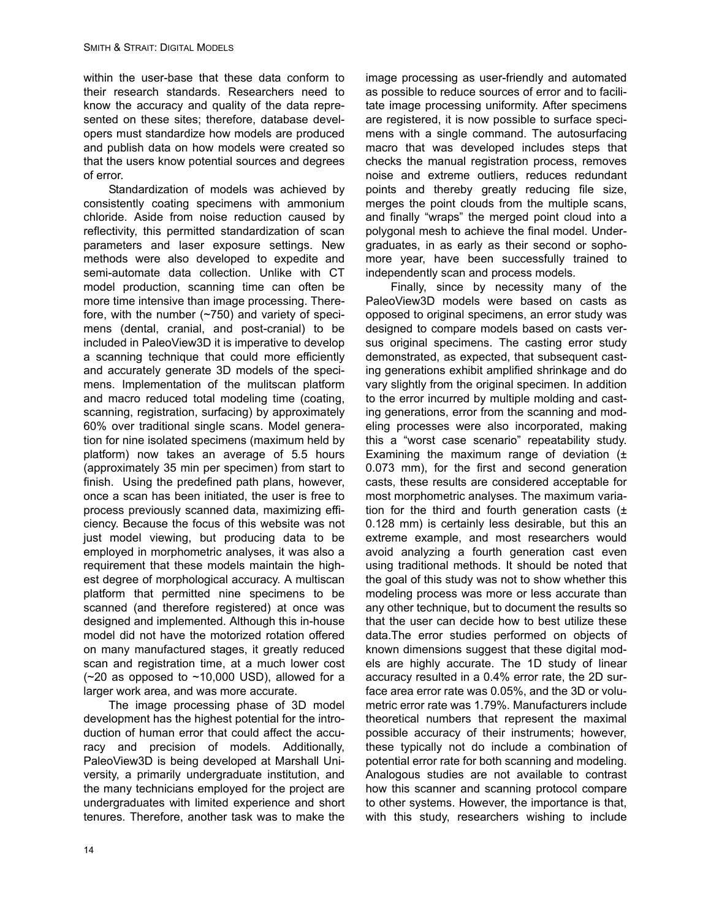within the user-base that these data conform to their research standards. Researchers need to know the accuracy and quality of the data represented on these sites; therefore, database developers must standardize how models are produced and publish data on how models were created so that the users know potential sources and degrees of error.

Standardization of models was achieved by consistently coating specimens with ammonium chloride. Aside from noise reduction caused by reflectivity, this permitted standardization of scan parameters and laser exposure settings. New methods were also developed to expedite and semi-automate data collection. Unlike with CT model production, scanning time can often be more time intensive than image processing. Therefore, with the number (~750) and variety of specimens (dental, cranial, and post-cranial) to be included in PaleoView3D it is imperative to develop a scanning technique that could more efficiently and accurately generate 3D models of the specimens. Implementation of the mulitscan platform and macro reduced total modeling time (coating, scanning, registration, surfacing) by approximately 60% over traditional single scans. Model generation for nine isolated specimens (maximum held by platform) now takes an average of 5.5 hours (approximately 35 min per specimen) from start to finish. Using the predefined path plans, however, once a scan has been initiated, the user is free to process previously scanned data, maximizing efficiency. Because the focus of this website was not just model viewing, but producing data to be employed in morphometric analyses, it was also a requirement that these models maintain the highest degree of morphological accuracy. A multiscan platform that permitted nine specimens to be scanned (and therefore registered) at once was designed and implemented. Although this in-house model did not have the motorized rotation offered on many manufactured stages, it greatly reduced scan and registration time, at a much lower cost  $(-20$  as opposed to  $-10,000$  USD), allowed for a larger work area, and was more accurate.

The image processing phase of 3D model development has the highest potential for the introduction of human error that could affect the accuracy and precision of models. Additionally, PaleoView3D is being developed at Marshall University, a primarily undergraduate institution, and the many technicians employed for the project are undergraduates with limited experience and short tenures. Therefore, another task was to make the

image processing as user-friendly and automated as possible to reduce sources of error and to facilitate image processing uniformity. After specimens are registered, it is now possible to surface specimens with a single command. The autosurfacing macro that was developed includes steps that checks the manual registration process, removes noise and extreme outliers, reduces redundant points and thereby greatly reducing file size, merges the point clouds from the multiple scans, and finally "wraps" the merged point cloud into a polygonal mesh to achieve the final model. Undergraduates, in as early as their second or sophomore year, have been successfully trained to independently scan and process models.

Finally, since by necessity many of the PaleoView3D models were based on casts as opposed to original specimens, an error study was designed to compare models based on casts versus original specimens. The casting error study demonstrated, as expected, that subsequent casting generations exhibit amplified shrinkage and do vary slightly from the original specimen. In addition to the error incurred by multiple molding and casting generations, error from the scanning and modeling processes were also incorporated, making this a "worst case scenario" repeatability study. Examining the maximum range of deviation  $(±)$ 0.073 mm), for the first and second generation casts, these results are considered acceptable for most morphometric analyses. The maximum variation for the third and fourth generation casts  $(±)$ 0.128 mm) is certainly less desirable, but this an extreme example, and most researchers would avoid analyzing a fourth generation cast even using traditional methods. It should be noted that the goal of this study was not to show whether this modeling process was more or less accurate than any other technique, but to document the results so that the user can decide how to best utilize these data.The error studies performed on objects of known dimensions suggest that these digital models are highly accurate. The 1D study of linear accuracy resulted in a 0.4% error rate, the 2D surface area error rate was 0.05%, and the 3D or volumetric error rate was 1.79%. Manufacturers include theoretical numbers that represent the maximal possible accuracy of their instruments; however, these typically not do include a combination of potential error rate for both scanning and modeling. Analogous studies are not available to contrast how this scanner and scanning protocol compare to other systems. However, the importance is that, with this study, researchers wishing to include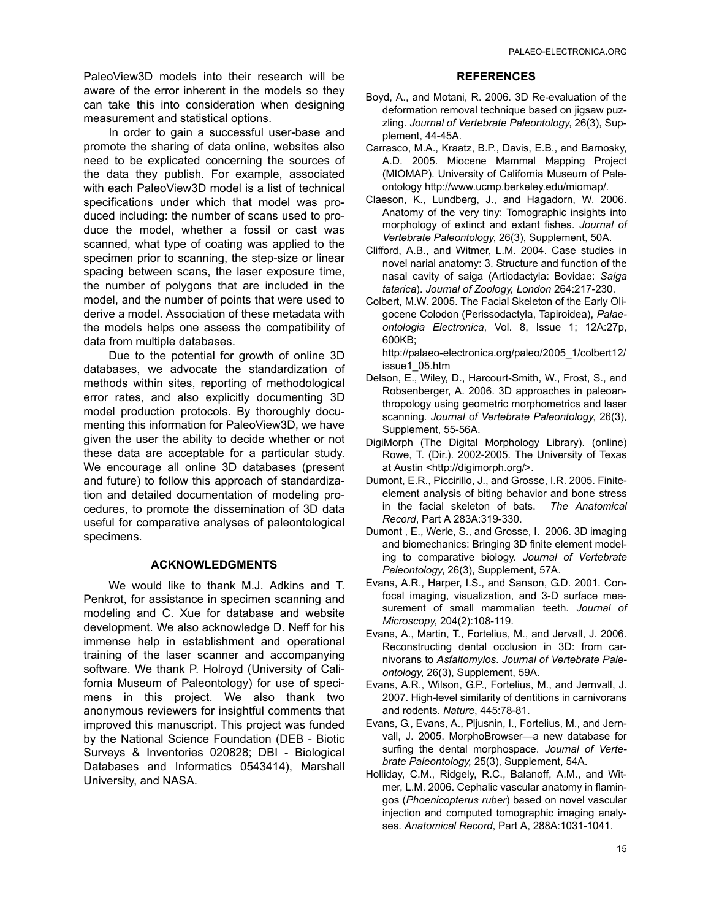PaleoView3D models into their research will be aware of the error inherent in the models so they can take this into consideration when designing measurement and statistical options.

In order to gain a successful user-base and promote the sharing of data online, websites also need to be explicated concerning the sources of the data they publish. For example, associated with each PaleoView3D model is a list of technical specifications under which that model was produced including: the number of scans used to produce the model, whether a fossil or cast was scanned, what type of coating was applied to the specimen prior to scanning, the step-size or linear spacing between scans, the laser exposure time, the number of polygons that are included in the model, and the number of points that were used to derive a model. Association of these metadata with the models helps one assess the compatibility of data from multiple databases.

Due to the potential for growth of online 3D databases, we advocate the standardization of methods within sites, reporting of methodological error rates, and also explicitly documenting 3D model production protocols. By thoroughly documenting this information for PaleoView3D, we have given the user the ability to decide whether or not these data are acceptable for a particular study. We encourage all online 3D databases (present and future) to follow this approach of standardization and detailed documentation of modeling procedures, to promote the dissemination of 3D data useful for comparative analyses of paleontological specimens.

## **ACKNOWLEDGMENTS**

We would like to thank M.J. Adkins and T. Penkrot, for assistance in specimen scanning and modeling and C. Xue for database and website development. We also acknowledge D. Neff for his immense help in establishment and operational training of the laser scanner and accompanying software. We thank P. Holroyd (University of California Museum of Paleontology) for use of specimens in this project. We also thank two anonymous reviewers for insightful comments that improved this manuscript. This project was funded by the National Science Foundation (DEB - Biotic Surveys & Inventories 020828; DBI - Biological Databases and Informatics 0543414), Marshall University, and NASA.

#### **REFERENCES**

- Boyd, A., and Motani, R. 2006. 3D Re-evaluation of the deformation removal technique based on jigsaw puzzling. *Journal of Vertebrate Paleontology*, 26(3), Supplement, 44-45A.
- Carrasco, M.A., Kraatz, B.P., Davis, E.B., and Barnosky, A.D. 2005. Miocene Mammal Mapping Project (MIOMAP). University of California Museum of Paleontology http://www.ucmp.berkeley.edu/miomap/.
- Claeson, K., Lundberg, J., and Hagadorn, W. 2006. Anatomy of the very tiny: Tomographic insights into morphology of extinct and extant fishes. *Journal of Vertebrate Paleontology*, 26(3), Supplement, 50A.
- Clifford, A.B., and Witmer, L.M. 2004. Case studies in novel narial anatomy: 3. Structure and function of the nasal cavity of saiga (Artiodactyla: Bovidae: *Saiga tatarica*). *Journal of Zoology, London* 264:217-230.
- Colbert, M.W. 2005. The Facial Skeleton of the Early Oligocene Colodon (Perissodactyla, Tapiroidea), *Palaeontologia Electronica*, Vol. 8, Issue 1; 12A:27p, 600KB;

http://palaeo-electronica.org/paleo/2005\_1/colbert12/ issue1\_05.htm

- Delson, E., Wiley, D., Harcourt-Smith, W., Frost, S., and Robsenberger, A. 2006. 3D approaches in paleoanthropology using geometric morphometrics and laser scanning. *Journal of Vertebrate Paleontology*, 26(3), Supplement, 55-56A.
- DigiMorph (The Digital Morphology Library). (online) Rowe, T. (Dir.). 2002-2005. The University of Texas at Austin <http://digimorph.org/>.
- Dumont, E.R., Piccirillo, J., and Grosse, I.R. 2005. Finiteelement analysis of biting behavior and bone stress in the facial skeleton of bats. *The Anatomical Record*, Part A 283A:319-330.
- Dumont , E., Werle, S., and Grosse, I. 2006. 3D imaging and biomechanics: Bringing 3D finite element modeling to comparative biology. *Journal of Vertebrate Paleontology*, 26(3), Supplement, 57A.
- Evans, A.R., Harper, I.S., and Sanson, G.D. 2001. Confocal imaging, visualization, and 3-D surface measurement of small mammalian teeth. *Journal of Microscopy*, 204(2):108-119.
- Evans, A., Martin, T., Fortelius, M., and Jervall, J. 2006. Reconstructing dental occlusion in 3D: from carnivorans to *Asfaltomylos*. *Journal of Vertebrate Paleontology*, 26(3), Supplement, 59A.
- Evans, A.R., Wilson, G.P., Fortelius, M., and Jernvall, J. 2007. High-level similarity of dentitions in carnivorans and rodents. *Nature*, 445:78-81.
- Evans, G., Evans, A., Pljusnin, I., Fortelius, M., and Jernvall, J. 2005. MorphoBrowser—a new database for surfing the dental morphospace. *Journal of Vertebrate Paleontology,* 25(3), Supplement, 54A.
- Holliday, C.M., Ridgely, R.C., Balanoff, A.M., and Witmer, L.M. 2006. Cephalic vascular anatomy in flamingos (*Phoenicopterus ruber*) based on novel vascular injection and computed tomographic imaging analyses. *Anatomical Record*, Part A, 288A:1031-1041.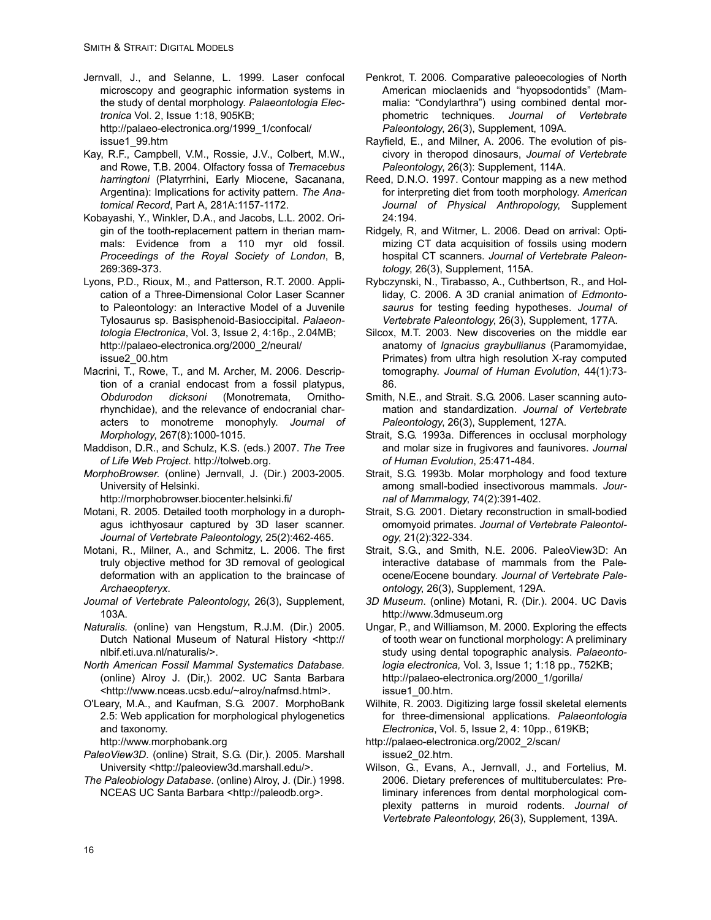- Jernvall, J., and Selanne, L. 1999. Laser confocal microscopy and geographic information systems in the study of dental morphology. *Palaeontologia Electronica* Vol. 2, Issue 1:18, 905KB; http://palaeo-electronica.org/1999\_1/confocal/ issue1\_99.htm
- Kay, R.F., Campbell, V.M., Rossie, J.V., Colbert, M.W., and Rowe, T.B. 2004. Olfactory fossa of *Tremacebus harringtoni* (Platyrrhini, Early Miocene, Sacanana, Argentina): Implications for activity pattern. *The Anatomical Record*, Part A, 281A:1157-1172.
- Kobayashi, Y., Winkler, D.A., and Jacobs, L.L. 2002. Origin of the tooth-replacement pattern in therian mammals: Evidence from a 110 myr old fossil. *Proceedings of the Royal Society of London*, B, 269:369-373.
- Lyons, P.D., Rioux, M., and Patterson, R.T. 2000. Application of a Three-Dimensional Color Laser Scanner to Paleontology: an Interactive Model of a Juvenile Tylosaurus sp. Basisphenoid-Basioccipital. *Palaeontologia Electronica*, Vol. 3, Issue 2, 4:16p., 2.04MB; http://palaeo-electronica.org/2000\_2/neural/ issue2\_00.htm
- Macrini, T., Rowe, T., and M. Archer, M. 2006. Description of a cranial endocast from a fossil platypus, *Obdurodon dicksoni* (Monotremata, Ornithorhynchidae), and the relevance of endocranial characters to monotreme monophyly. *Journal of Morphology*, 267(8):1000-1015.
- Maddison, D.R., and Schulz, K.S. (eds.) 2007. *The Tree of Life Web Project*. http://tolweb.org.
- *MorphoBrowser*. (online) Jernvall, J. (Dir.) 2003-2005. University of Helsinki.

http://morphobrowser.biocenter.helsinki.fi/

- Motani, R. 2005. Detailed tooth morphology in a durophagus ichthyosaur captured by 3D laser scanner. *Journal of Vertebrate Paleontology*, 25(2):462-465.
- Motani, R., Milner, A., and Schmitz, L. 2006. The first truly objective method for 3D removal of geological deformation with an application to the braincase of *Archaeopteryx*.
- *Journal of Vertebrate Paleontology*, 26(3), Supplement, 103A.
- *Naturalis.* (online) van Hengstum, R.J.M. (Dir.) 2005. Dutch National Museum of Natural History <http:// nlbif.eti.uva.nl/naturalis/>.
- *North American Fossil Mammal Systematics Database.* (online) Alroy J. (Dir,). 2002. UC Santa Barbara <http://www.nceas.ucsb.edu/~alroy/nafmsd.html>.
- O'Leary, M.A., and Kaufman, S.G. 2007. MorphoBank 2.5: Web application for morphological phylogenetics and taxonomy.

http://www.morphobank.org

- *PaleoView3D*. (online) Strait, S.G. (Dir,). 2005. Marshall University <http://paleoview3d.marshall.edu/>.
- *The Paleobiology Database*. (online) Alroy, J. (Dir.) 1998. NCEAS UC Santa Barbara <http://paleodb.org>.
- Penkrot, T. 2006. Comparative paleoecologies of North American mioclaenids and "hyopsodontids" (Mammalia: "Condylarthra") using combined dental morphometric techniques. *Journal of Vertebrate Paleontology*, 26(3), Supplement, 109A.
- Rayfield, E., and Milner, A. 2006. The evolution of piscivory in theropod dinosaurs, *Journal of Vertebrate Paleontology*, 26(3): Supplement, 114A.
- Reed, D.N.O. 1997. Contour mapping as a new method for interpreting diet from tooth morphology. *American Journal of Physical Anthropology*, Supplement 24:194.
- Ridgely, R, and Witmer, L. 2006. Dead on arrival: Optimizing CT data acquisition of fossils using modern hospital CT scanners. *Journal of Vertebrate Paleontology*, 26(3), Supplement, 115A.
- Rybczynski, N., Tirabasso, A., Cuthbertson, R., and Holliday, C. 2006. A 3D cranial animation of *Edmontosaurus* for testing feeding hypotheses. *Journal of Vertebrate Paleontology*, 26(3), Supplement, 177A.
- Silcox, M.T. 2003. New discoveries on the middle ear anatomy of *Ignacius graybullianus* (Paramomyidae, Primates) from ultra high resolution X-ray computed tomography. *Journal of Human Evolution*, 44(1):73- 86.
- Smith, N.E., and Strait. S.G. 2006. Laser scanning automation and standardization. *Journal of Vertebrate Paleontology*, 26(3), Supplement, 127A.
- Strait, S.G. 1993a. Differences in occlusal morphology and molar size in frugivores and faunivores. *Journal of Human Evolution*, 25:471-484.
- Strait, S.G. 1993b. Molar morphology and food texture among small-bodied insectivorous mammals. *Journal of Mammalogy*, 74(2):391-402.
- Strait, S.G. 2001. Dietary reconstruction in small-bodied omomyoid primates. *Journal of Vertebrate Paleontology*, 21(2):322-334.
- Strait, S.G., and Smith, N.E. 2006. PaleoView3D: An interactive database of mammals from the Paleocene/Eocene boundary*. Journal of Vertebrate Paleontology*, 26(3), Supplement, 129A.
- *3D Museum*. (online) Motani, R. (Dir.). 2004. UC Davis http://www.3dmuseum.org
- Ungar, P., and Williamson, M. 2000. Exploring the effects of tooth wear on functional morphology: A preliminary study using dental topographic analysis. *Palaeontologia electronica,* Vol. 3, Issue 1; 1:18 pp., 752KB; http://palaeo-electronica.org/2000\_1/gorilla/ issue1\_00.htm.
- Wilhite, R. 2003. Digitizing large fossil skeletal elements for three-dimensional applications. *Palaeontologia Electronica*, Vol. 5, Issue 2, 4: 10pp., 619KB;
- http://palaeo-electronica.org/2002\_2/scan/ issue2\_02.htm.
- Wilson, G., Evans, A., Jernvall, J., and Fortelius, M. 2006. Dietary preferences of multituberculates: Preliminary inferences from dental morphological complexity patterns in muroid rodents. *Journal of Vertebrate Paleontology*, 26(3), Supplement, 139A.